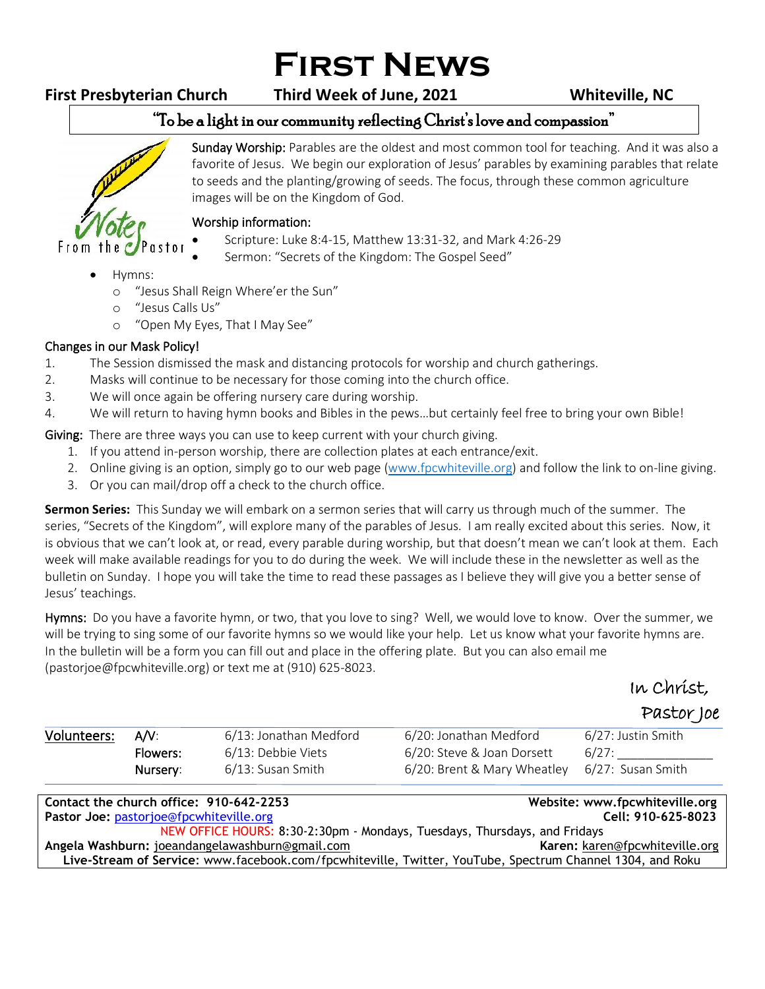# **First News**

## **First Presbyterian Church Third Week of June, 2021 Whiteville, NC**

#### "To be a light in our community reflecting Christ's love and compassion" ֺ֝



Sunday Worship: Parables are the oldest and most common tool for teaching. And it was also a favorite of Jesus. We begin our exploration of Jesus' parables by examining parables that relate to seeds and the planting/growing of seeds. The focus, through these common agriculture images will be on the Kingdom of God.

### Worship information:

- Scripture: Luke 8:4-15, Matthew 13:31-32, and Mark 4:26-29
- Sermon: "Secrets of the Kingdom: The Gospel Seed"
- Hymns:
	- o "Jesus Shall Reign Where'er the Sun"
	- o "Jesus Calls Us"
	- o "Open My Eyes, That I May See"

### Changes in our Mask Policy!

- 1. The Session dismissed the mask and distancing protocols for worship and church gatherings.
- 2. Masks will continue to be necessary for those coming into the church office.
- 3. We will once again be offering nursery care during worship.
- 4. We will return to having hymn books and Bibles in the pews…but certainly feel free to bring your own Bible!

Giving: There are three ways you can use to keep current with your church giving.

- 1. If you attend in-person worship, there are collection plates at each entrance/exit.
- 2. Online giving is an option, simply go to our web page [\(www.fpcwhiteville.org](http://www.fpcwhiteville.ort/)) and follow the link to on-line giving.
- 3. Or you can mail/drop off a check to the church office.

**Sermon Series:** This Sunday we will embark on a sermon series that will carry us through much of the summer. The series, "Secrets of the Kingdom", will explore many of the parables of Jesus. I am really excited about this series. Now, it is obvious that we can't look at, or read, every parable during worship, but that doesn't mean we can't look at them. Each week will make available readings for you to do during the week. We will include these in the newsletter as well as the bulletin on Sunday. I hope you will take the time to read these passages as I believe they will give you a better sense of Jesus' teachings.

Hymns: Do you have a favorite hymn, or two, that you love to sing? Well, we would love to know. Over the summer, we will be trying to sing some of our favorite hymns so we would like your help. Let us know what your favorite hymns are. In the bulletin will be a form you can fill out and place in the offering plate. But you can also email me (pastorjoe@fpcwhiteville.org) or text me at (910) 625-8023.

In Christ,

Pastor Joe

| Volunteers: A/V: |          | 6/13: Jonathan Medford | 6/20: Jonathan Medford                        | 6/27: Justin Smith |
|------------------|----------|------------------------|-----------------------------------------------|--------------------|
|                  | Flowers: | 6/13: Debbie Viets     | 6/20: Steve & Joan Dorsett                    | 6/27:              |
|                  | Nursery: | 6/13: Susan Smith      | 6/20: Brent & Mary Wheatley 6/27: Susan Smith |                    |

| Contact the church office: 910-642-2253                                                                   | Website: www.fpcwhiteville.org |  |  |  |
|-----------------------------------------------------------------------------------------------------------|--------------------------------|--|--|--|
| <b>Pastor Joe: pastorjoe@fpcwhiteville.org</b>                                                            | Cell: 910-625-8023             |  |  |  |
| NEW OFFICE HOURS: 8:30-2:30pm - Mondays, Tuesdays, Thursdays, and Fridays                                 |                                |  |  |  |
| Angela Washburn: joeandangelawashburn@gmail.com                                                           | Karen: karen@fpcwhiteville.org |  |  |  |
| Live-Stream of Service: www.facebook.com/fpcwhiteville, Twitter, YouTube, Spectrum Channel 1304, and Roku |                                |  |  |  |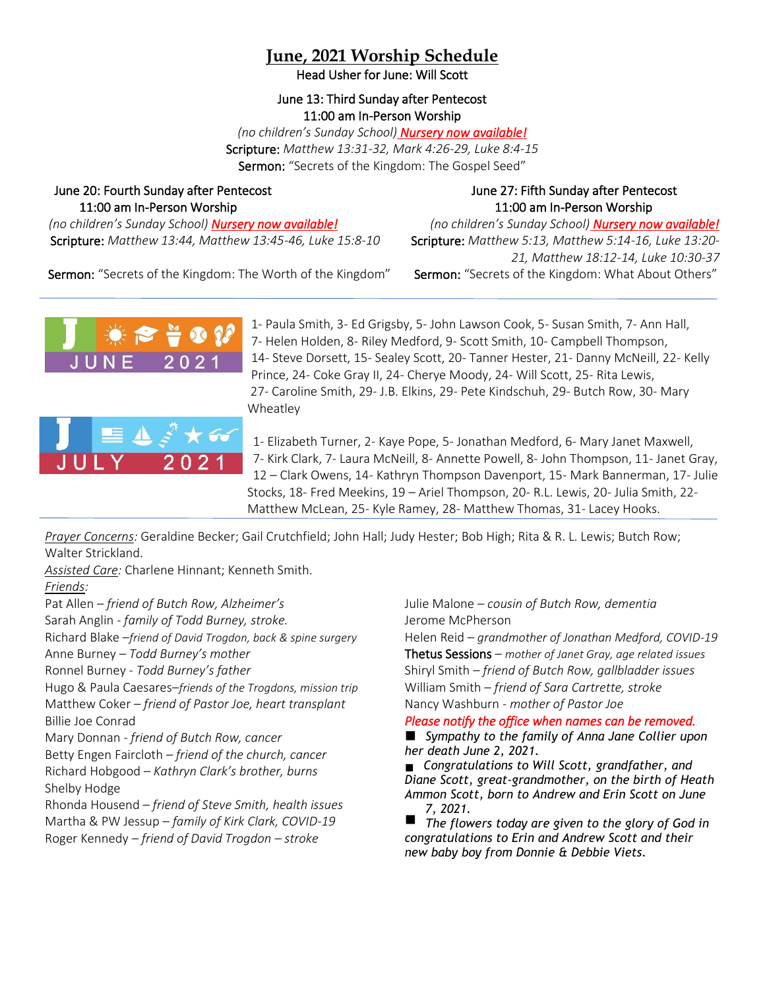# **June, 2021 Worship Schedule**

Head Usher for June: Will Scott

#### June 13: Third Sunday after Pentecost 11:00 am In-Person Worship

*(no children's Sunday School) Nursery now available!* Scripture: *Matthew 13:31-32, Mark 4:26-29, Luke 8:4-15* Sermon: "Secrets of the Kingdom: The Gospel Seed"

### June 20: Fourth Sunday after Pentecost June 27: Fifth Sunday after Pentecost 11:00 am In-Person Worship 11:00 am In-Person Worship

*(no children's Sunday School) Nursery now available! (no children's Sunday School) Nursery now available!* Scripture: *Matthew 13:44, Matthew 13:45-46, Luke 15:8-10* Scripture: *Matthew 5:13, Matthew 5:14-16, Luke 13:20-*

*21, Matthew 18:12-14, Luke 10:30-37*

Sermon: "Secrets of the Kingdom: The Worth of the Kingdom" Sermon: "Secrets of the Kingdom: What About Others"



1- Paula Smith, 3- Ed Grigsby, 5- John Lawson Cook, 5- Susan Smith, 7- Ann Hall, 7- Helen Holden, 8- Riley Medford, 9- Scott Smith, 10- Campbell Thompson, 14- Steve Dorsett, 15- Sealey Scott, 20- Tanner Hester, 21- Danny McNeill, 22- Kelly Prince, 24- Coke Gray II, 24- Cherye Moody, 24- Will Scott, 25- Rita Lewis, 27- Caroline Smith, 29- J.B. Elkins, 29- Pete Kindschuh, 29- Butch Row, 30- Mary Wheatley



1- Elizabeth Turner, 2- Kaye Pope, 5- Jonathan Medford, 6- Mary Janet Maxwell, 7- Kirk Clark, 7- Laura McNeill, 8- Annette Powell, 8- John Thompson, 11- Janet Gray, 12 – Clark Owens, 14- Kathryn Thompson Davenport, 15- Mark Bannerman, 17- Julie Stocks, 18- Fred Meekins, 19 – Ariel Thompson, 20- R.L. Lewis, 20- Julia Smith, 22- Matthew McLean, 25- Kyle Ramey, 28- Matthew Thomas, 31- Lacey Hooks.

*Prayer Concerns:* Geraldine Becker; Gail Crutchfield; John Hall; Judy Hester; Bob High; Rita & R. L. Lewis; Butch Row; Walter Strickland.

*Assisted Care:* Charlene Hinnant; Kenneth Smith.

#### *Friends:*

Pat Allen – *friend of Butch Row, Alzheimer's* 

Sarah Anglin - *family of Todd Burney, stroke.*

Richard Blake –*friend of David Trogdon, back & spine surgery* Anne Burney – *Todd Burney's mother*

Ronnel Burney - *Todd Burney's father*

Hugo & Paula Caesares–*friends of the Trogdons, mission trip* Matthew Coker – *friend of Pastor Joe, heart transplant* Billie Joe Conrad

Mary Donnan - *friend of Butch Row, cancer*

Betty Engen Faircloth *– friend of the church, cancer* Richard Hobgood – *Kathryn Clark's brother, burns* Shelby Hodge

Rhonda Housend – *friend of Steve Smith, health issues* Martha & PW Jessup – *family of Kirk Clark, COVID-19* Roger Kennedy – *friend of David Trogdon – stroke*

Julie Malone – *cousin of Butch Row, dementia* Jerome McPherson

Helen Reid – *grandmother of Jonathan Medford, COVID-19* Thetus Sessions – *mother of Janet Gray, age related issues* Shiryl Smith – *friend of Butch Row, gallbladder issues* William Smith – *friend of Sara Cartrette, stroke* Nancy Washburn - *mother of Pastor Joe*

*Please notify the office when names can be removed.* 

*Sympathy to the family of Anna Jane Collier upon her death June 2, 2021.*

*Congratulations to Will Scott, grandfather, and Diane Scott, great-grandmother, on the birth of Heath Ammon Scott, born to Andrew and Erin Scott on June 7, 2021.*

*The flowers today are given to the glory of God in congratulations to Erin and Andrew Scott and their new baby boy from Donnie & Debbie Viets.*